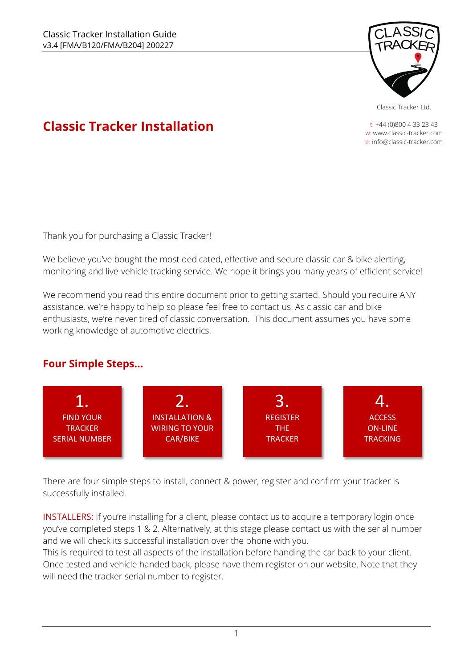

Classic Tracker Ltd.

t: +44 (0)800 4 33 23 43 w: www.classic-tracker.com e: info@classic-tracker.com

# **Classic Tracker Installation**

Thank you for purchasing a Classic Tracker!

We believe you've bought the most dedicated, effective and secure classic car & bike alerting, monitoring and live-vehicle tracking service. We hope it brings you many years of efficient service!

We recommend you read this entire document prior to getting started. Should you require ANY assistance, we're happy to help so please feel free to contact us. As classic car and bike enthusiasts, we're never tired of classic conversation. This document assumes you have some working knowledge of automotive electrics.

## **Four Simple Steps...**



There are four simple steps to install, connect & power, register and confirm your tracker is successfully installed.

INSTALLERS: If you're installing for a client, please contact us to acquire a temporary login once you've completed steps 1 & 2. Alternatively, at this stage please contact us with the serial number and we will check its successful installation over the phone with you.

This is required to test all aspects of the installation before handing the car back to your client. Once tested and vehicle handed back, please have them register on our website. Note that they will need the tracker serial number to register.

1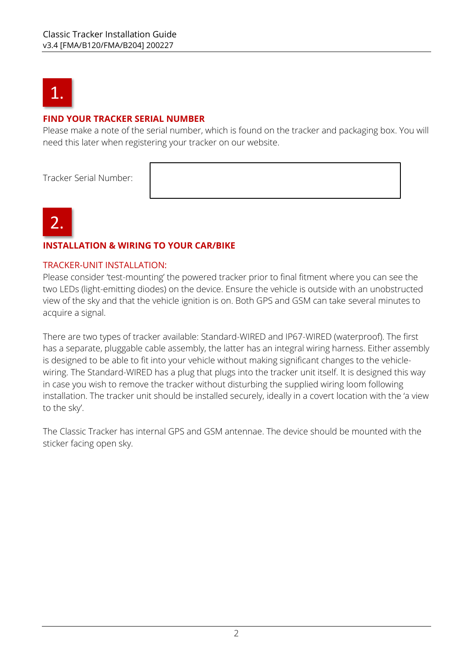

#### **FIND YOUR TRACKER SERIAL NUMBER**

Please make a note of the serial number, which is found on the tracker and packaging box. You will need this later when registering your tracker on our website.

Tracker Serial Number:



#### **INSTALLATION & WIRING TO YOUR CAR/BIKE**

#### TRACKER-UNIT INSTALLATION:

Please consider 'test-mounting' the powered tracker prior to final fitment where you can see the two LEDs (light-emitting diodes) on the device. Ensure the vehicle is outside with an unobstructed view of the sky and that the vehicle ignition is on. Both GPS and GSM can take several minutes to acquire a signal.

There are two types of tracker available: Standard-WIRED and IP67-WIRED (waterproof). The first has a separate, pluggable cable assembly, the latter has an integral wiring harness. Either assembly is designed to be able to fit into your vehicle without making significant changes to the vehiclewiring. The Standard-WIRED has a plug that plugs into the tracker unit itself. It is designed this way in case you wish to remove the tracker without disturbing the supplied wiring loom following installation. The tracker unit should be installed securely, ideally in a covert location with the 'a view to the sky'.

The Classic Tracker has internal GPS and GSM antennae. The device should be mounted with the sticker facing open sky.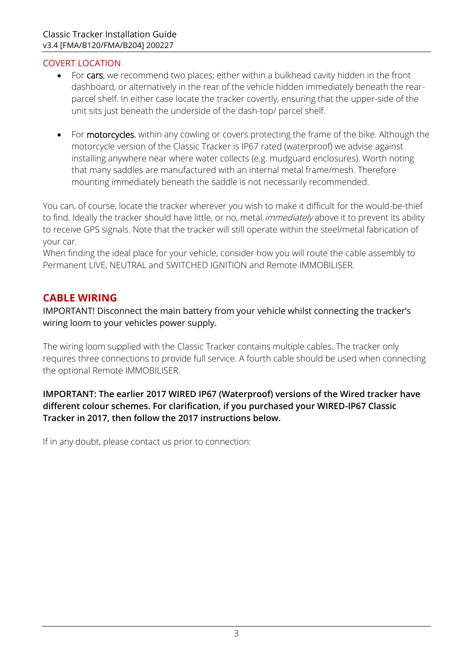#### COVERT LOCATION

- For cars, we recommend two places; either within a bulkhead cavity hidden in the front dashboard, or alternatively in the rear of the vehicle hidden immediately beneath the rearparcel shelf. In either case locate the tracker covertly, ensuring that the upper-side of the unit sits just beneath the underside of the dash-top/ parcel shelf.
- For motorcycles, within any cowling or covers protecting the frame of the bike. Although the motorcycle version of the Classic Tracker is IP67 rated (waterproof) we advise against installing anywhere near where water collects (e.g. mudguard enclosures). Worth noting that many saddles are manufactured with an internal metal frame/mesh. Therefore mounting immediately beneath the saddle is not necessarily recommended.

You can, of course, locate the tracker wherever you wish to make it difficult for the would-be-thief to find. Ideally the tracker should have little, or no, metal *immediately* above it to prevent its ability to receive GPS signals. Note that the tracker will still operate within the steel/metal fabrication of your car.

When finding the ideal place for your vehicle, consider how you will route the cable assembly to Permanent LIVE, NEUTRAL and SWITCHED IGNITION and Remote IMMOBILISER.

## **CABLE WIRING**

IMPORTANT! Disconnect the main battery from your vehicle whilst connecting the tracker's wiring loom to your vehicles power supply.

The wiring loom supplied with the Classic Tracker contains multiple cables. The tracker only requires three connections to provide full service. A fourth cable should be used when connecting the optional Remote IMMOBILISER.

#### **IMPORTANT: The earlier 2017 WIRED IP67 (Waterproof) versions of the Wired tracker have different colour schemes. For clarification, if you purchased your WIRED-IP67 Classic Tracker in 2017, then follow the 2017 instructions below.**

If in any doubt, please contact us prior to connection: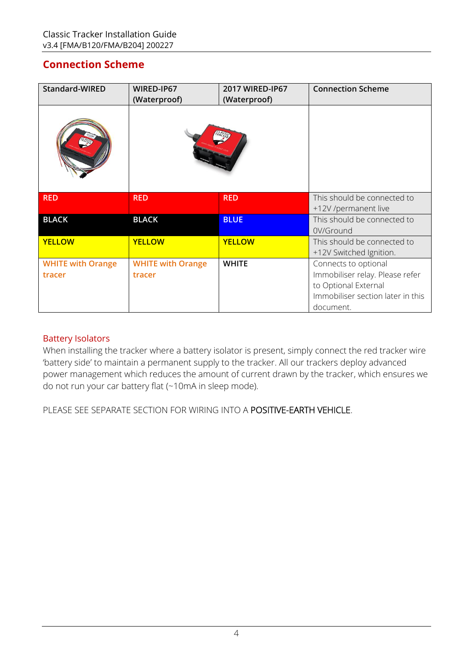## **Connection Scheme**

| Standard-WIRED                     | WIRED-IP67<br>(Waterproof)         | 2017 WIRED-IP67<br>(Waterproof) | <b>Connection Scheme</b>                                                                                                          |
|------------------------------------|------------------------------------|---------------------------------|-----------------------------------------------------------------------------------------------------------------------------------|
|                                    |                                    |                                 |                                                                                                                                   |
| <b>RED</b>                         | <b>RED</b>                         | <b>RED</b>                      | This should be connected to<br>+12V /permanent live                                                                               |
| <b>BLACK</b>                       | <b>BLACK</b>                       | <b>BLUE</b>                     | This should be connected to<br>0V/Ground                                                                                          |
| <b>YELLOW</b>                      | <b>YELLOW</b>                      | <b>YELLOW</b>                   | This should be connected to<br>+12V Switched Ignition.                                                                            |
| <b>WHITE with Orange</b><br>tracer | <b>WHITE with Orange</b><br>tracer | <b>WHITE</b>                    | Connects to optional<br>Immobiliser relay. Please refer<br>to Optional External<br>Immobiliser section later in this<br>document. |

#### Battery Isolators

When installing the tracker where a battery isolator is present, simply connect the red tracker wire 'battery side' to maintain a permanent supply to the tracker. All our trackers deploy advanced power management which reduces the amount of current drawn by the tracker, which ensures we do not run your car battery flat (~10mA in sleep mode).

PLEASE SEE SEPARATE SECTION FOR WIRING INTO A POSITIVE-EARTH VEHICLE.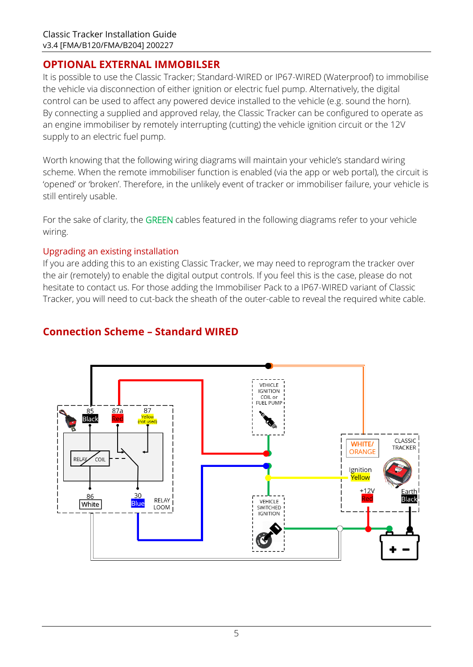## **OPTIONAL EXTERNAL IMMOBILSER**

It is possible to use the Classic Tracker; Standard-WIRED or IP67-WIRED (Waterproof) to immobilise the vehicle via disconnection of either ignition or electric fuel pump. Alternatively, the digital control can be used to affect any powered device installed to the vehicle (e.g. sound the horn). By connecting a supplied and approved relay, the Classic Tracker can be configured to operate as an engine immobiliser by remotely interrupting (cutting) the vehicle ignition circuit or the 12V supply to an electric fuel pump.

Worth knowing that the following wiring diagrams will maintain your vehicle's standard wiring scheme. When the remote immobiliser function is enabled (via the app or web portal), the circuit is 'opened' or 'broken'. Therefore, in the unlikely event of tracker or immobiliser failure, your vehicle is still entirely usable.

For the sake of clarity, the GREEN cables featured in the following diagrams refer to your vehicle wiring.

#### Upgrading an existing installation

If you are adding this to an existing Classic Tracker, we may need to reprogram the tracker over the air (remotely) to enable the digital output controls. If you feel this is the case, please do not hesitate to contact us. For those adding the Immobiliser Pack to a IP67-WIRED variant of Classic Tracker, you will need to cut-back the sheath of the outer-cable to reveal the required white cable.



## **Connection Scheme – Standard WIRED**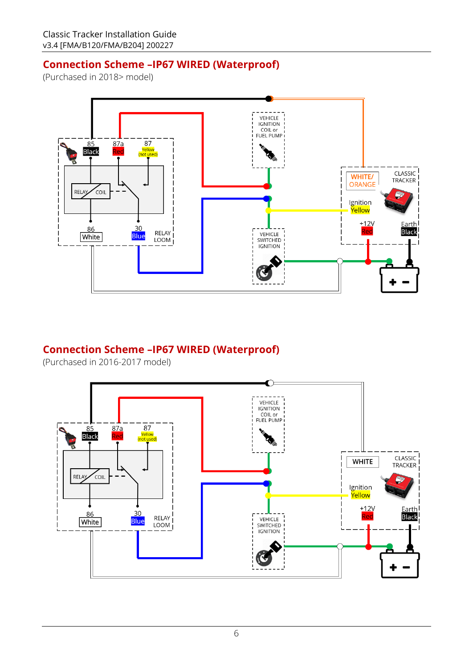## **Connection Scheme –IP67 WIRED (Waterproof)**

(Purchased in 2018> model)



## **Connection Scheme –IP67 WIRED (Waterproof)**

(Purchased in 2016-2017 model)

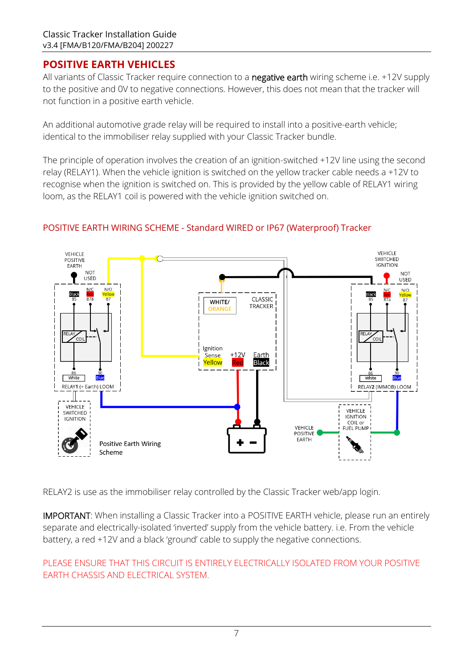## **POSITIVE EARTH VEHICLES**

All variants of Classic Tracker require connection to a negative earth wiring scheme i.e. +12V supply to the positive and 0V to negative connections. However, this does not mean that the tracker will not function in a positive earth vehicle.

An additional automotive grade relay will be required to install into a positive-earth vehicle; identical to the immobiliser relay supplied with your Classic Tracker bundle.

The principle of operation involves the creation of an ignition-switched +12V line using the second relay (RELAY1). When the vehicle ignition is switched on the yellow tracker cable needs a +12V to recognise when the ignition is switched on. This is provided by the yellow cable of RELAY1 wiring loom, as the RELAY1 coil is powered with the vehicle ignition switched on.



#### POSITIVE EARTH WIRING SCHEME - Standard WIRED or IP67 (Waterproof) Tracker

RELAY2 is use as the immobiliser relay controlled by the Classic Tracker web/app login.

IMPORTANT: When installing a Classic Tracker into a POSITIVE EARTH vehicle, please run an entirely separate and electrically-isolated 'inverted' supply from the vehicle battery. i.e. From the vehicle battery, a red +12V and a black 'ground' cable to supply the negative connections.

#### PLEASE ENSURE THAT THIS CIRCUIT IS ENTIRELY ELECTRICALLY ISOLATED FROM YOUR POSITIVE EARTH CHASSIS AND ELECTRICAL SYSTEM.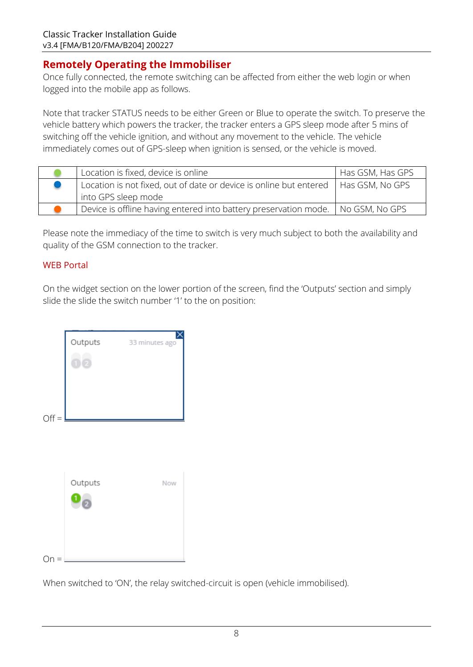## **Remotely Operating the Immobiliser**

Once fully connected, the remote switching can be affected from either the web login or when logged into the mobile app as follows.

Note that tracker STATUS needs to be either Green or Blue to operate the switch. To preserve the vehicle battery which powers the tracker, the tracker enters a GPS sleep mode after 5 mins of switching off the vehicle ignition, and without any movement to the vehicle. The vehicle immediately comes out of GPS-sleep when ignition is sensed, or the vehicle is moved.

| Location is fixed, device is online                                                                         | Has GSM, Has GPS |
|-------------------------------------------------------------------------------------------------------------|------------------|
| Location is not fixed, out of date or device is online but entered   Has GSM, No GPS<br>into GPS sleep mode |                  |
|                                                                                                             |                  |
| Device is offline having entered into battery preservation mode.   No GSM, No GPS                           |                  |

Please note the immediacy of the time to switch is very much subject to both the availability and quality of the GSM connection to the tracker.

#### WEB Portal

On the widget section on the lower portion of the screen, find the 'Outputs' section and simply slide the slide the switch number '1' to the on position:

| $Off =$ | Outputs                      | 33 minutes ago |
|---------|------------------------------|----------------|
|         | Outputs<br>$\ddot{\text{o}}$ | Now            |
| Οn      |                              |                |

When switched to 'ON', the relay switched-circuit is open (vehicle immobilised).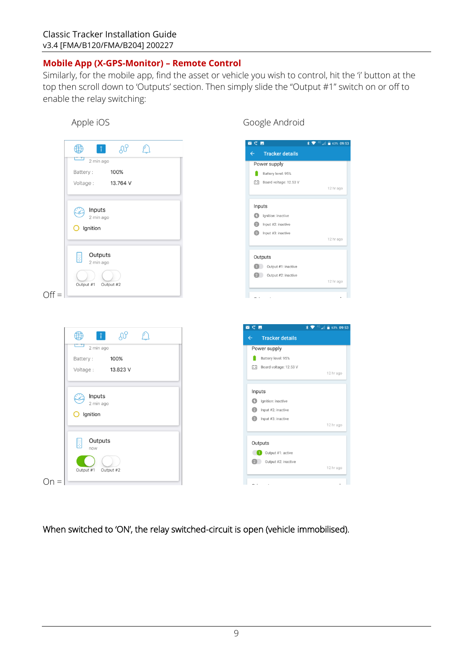#### **Mobile App (X-GPS-Monitor) – Remote Control**

Similarly, for the mobile app, find the asset or vehicle you wish to control, hit the 'i' button at the top then scroll down to 'Outputs' section. Then simply slide the "Output #1" switch on or off to enable the relay switching:

#### Apple iOS and the Coogle Android



When switched to 'ON', the relay switched-circuit is open (vehicle immobilised).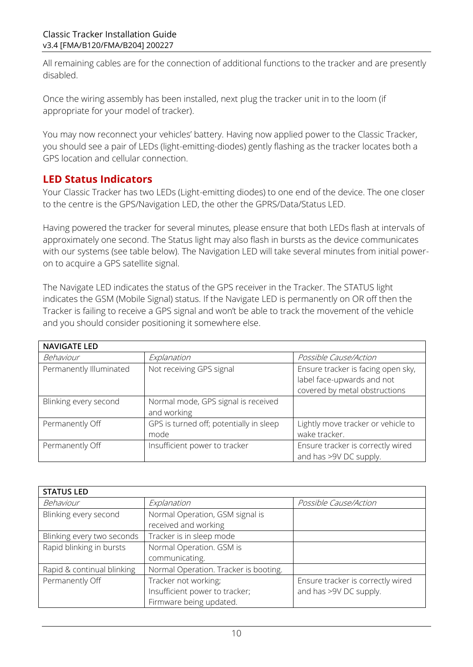All remaining cables are for the connection of additional functions to the tracker and are presently disabled.

Once the wiring assembly has been installed, next plug the tracker unit in to the loom (if appropriate for your model of tracker).

You may now reconnect your vehicles' battery. Having now applied power to the Classic Tracker, you should see a pair of LEDs (light-emitting-diodes) gently flashing as the tracker locates both a GPS location and cellular connection.

## **LED Status Indicators**

Your Classic Tracker has two LEDs (Light-emitting diodes) to one end of the device. The one closer to the centre is the GPS/Navigation LED, the other the GPRS/Data/Status LED.

Having powered the tracker for several minutes, please ensure that both LEDs flash at intervals of approximately one second. The Status light may also flash in bursts as the device communicates with our systems (see table below). The Navigation LED will take several minutes from initial poweron to acquire a GPS satellite signal.

The Navigate LED indicates the status of the GPS receiver in the Tracker. The STATUS light indicates the GSM (Mobile Signal) status. If the Navigate LED is permanently on OR off then the Tracker is failing to receive a GPS signal and won't be able to track the movement of the vehicle and you should consider positioning it somewhere else.

| <b>NAVIGATE LED</b>     |                                                    |                                                                                                   |
|-------------------------|----------------------------------------------------|---------------------------------------------------------------------------------------------------|
| Behaviour               | Explanation                                        | Possible Cause/Action                                                                             |
| Permanently Illuminated | Not receiving GPS signal                           | Ensure tracker is facing open sky,<br>label face-upwards and not<br>covered by metal obstructions |
| Blinking every second   | Normal mode, GPS signal is received<br>and working |                                                                                                   |
| Permanently Off         | GPS is turned off; potentially in sleep<br>mode    | Lightly move tracker or vehicle to<br>wake tracker.                                               |
| Permanently Off         | Insufficient power to tracker                      | Ensure tracker is correctly wired<br>and has >9V DC supply.                                       |

| <b>STATUS LED</b>          |                                                         |                                   |  |  |
|----------------------------|---------------------------------------------------------|-----------------------------------|--|--|
| Behaviour                  | Explanation                                             | Possible Cause/Action             |  |  |
| Blinking every second      | Normal Operation, GSM signal is<br>received and working |                                   |  |  |
| Blinking every two seconds | Tracker is in sleep mode                                |                                   |  |  |
| Rapid blinking in bursts   | Normal Operation. GSM is                                |                                   |  |  |
|                            | communicating.                                          |                                   |  |  |
| Rapid & continual blinking | Normal Operation. Tracker is booting.                   |                                   |  |  |
| Permanently Off            | Tracker not working;                                    | Ensure tracker is correctly wired |  |  |
|                            | Insufficient power to tracker;                          | and has >9V DC supply.            |  |  |
|                            | Firmware being updated.                                 |                                   |  |  |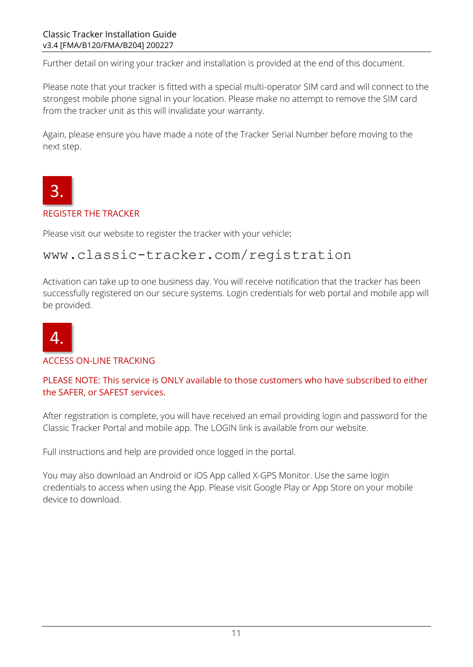Further detail on wiring your tracker and installation is provided at the end of this document.

Please note that your tracker is fitted with a special multi-operator SIM card and will connect to the strongest mobile phone signal in your location. Please make no attempt to remove the SIM card from the tracker unit as this will invalidate your warranty.

Again, please ensure you have made a note of the Tracker Serial Number before moving to the next step.



#### REGISTER THE TRACKER

Please visit our website to register the tracker with your vehicle:

# www.classic-tracker.com/registration

Activation can take up to one business day. You will receive notification that the tracker has been successfully registered on our secure systems. Login credentials for web portal and mobile app will be provided.



#### ACCESS ON-LINE TRACKING

PLEASE NOTE: This service is ONLY available to those customers who have subscribed to either the SAFER, or SAFEST services.

After registration is complete, you will have received an email providing login and password for the Classic Tracker Portal and mobile app. The LOGIN link is available from our website.

Full instructions and help are provided once logged in the portal.

You may also download an Android or iOS App called X-GPS Monitor. Use the same login credentials to access when using the App. Please visit Google Play or App Store on your mobile device to download.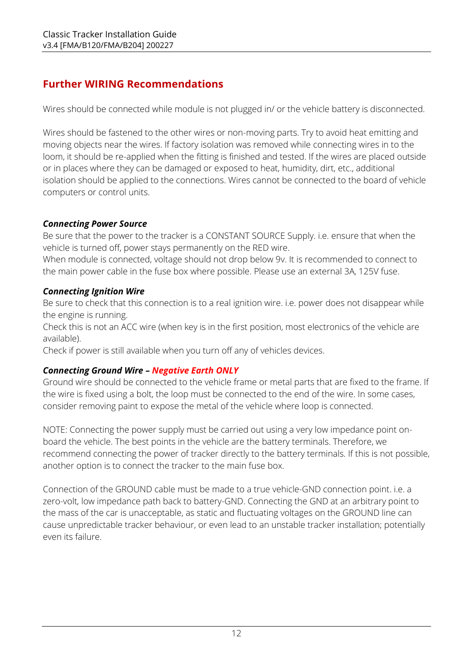## **Further WIRING Recommendations**

Wires should be connected while module is not plugged in/ or the vehicle battery is disconnected.

Wires should be fastened to the other wires or non-moving parts. Try to avoid heat emitting and moving objects near the wires. If factory isolation was removed while connecting wires in to the loom, it should be re-applied when the fitting is finished and tested. If the wires are placed outside or in places where they can be damaged or exposed to heat, humidity, dirt, etc., additional isolation should be applied to the connections. Wires cannot be connected to the board of vehicle computers or control units.

## *Connecting Power Source*

Be sure that the power to the tracker is a CONSTANT SOURCE Supply. i.e. ensure that when the vehicle is turned off, power stays permanently on the RED wire.

When module is connected, voltage should not drop below 9v. It is recommended to connect to the main power cable in the fuse box where possible. Please use an external 3A, 125V fuse.

## *Connecting Ignition Wire*

Be sure to check that this connection is to a real ignition wire. i.e. power does not disappear while the engine is running.

Check this is not an ACC wire (when key is in the first position, most electronics of the vehicle are available).

Check if power is still available when you turn off any of vehicles devices.

## *Connecting Ground Wire – Negative Earth ONLY*

Ground wire should be connected to the vehicle frame or metal parts that are fixed to the frame. If the wire is fixed using a bolt, the loop must be connected to the end of the wire. In some cases, consider removing paint to expose the metal of the vehicle where loop is connected.

NOTE: Connecting the power supply must be carried out using a very low impedance point onboard the vehicle. The best points in the vehicle are the battery terminals. Therefore, we recommend connecting the power of tracker directly to the battery terminals. If this is not possible, another option is to connect the tracker to the main fuse box.

Connection of the GROUND cable must be made to a true vehicle-GND connection point. i.e. a zero-volt, low impedance path back to battery-GND. Connecting the GND at an arbitrary point to the mass of the car is unacceptable, as static and fluctuating voltages on the GROUND line can cause unpredictable tracker behaviour, or even lead to an unstable tracker installation; potentially even its failure.